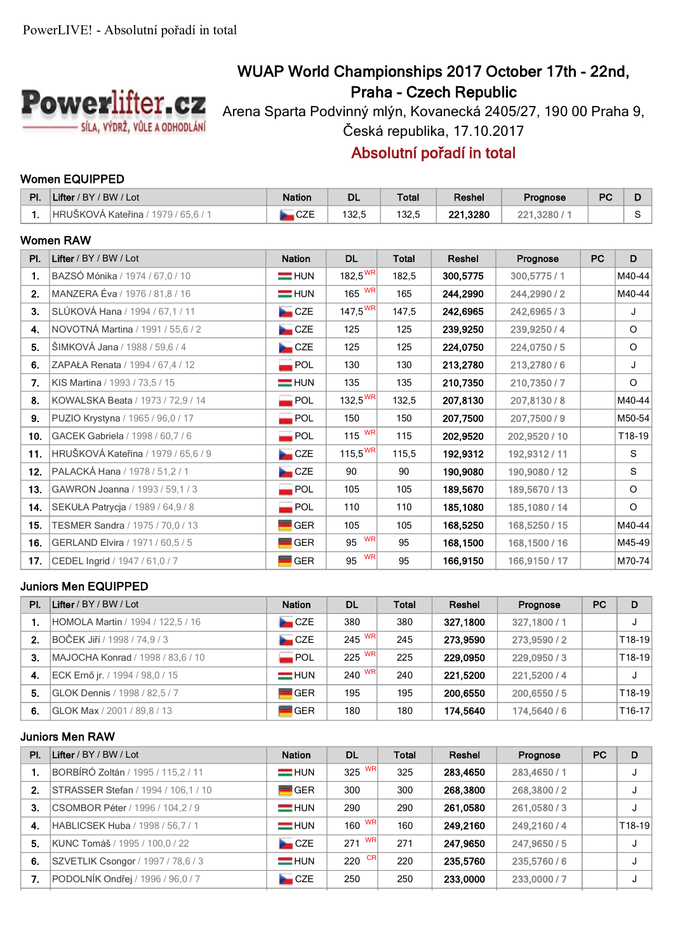

# **WUAP World Championships 2017 October 17th - 22nd, Praha - Czech Republic**

Arena Sparta Podvinný mlýn, Kovanecká 2405/27, 190 00 Praha 9, Česká republika, 17.10.2017

# **Absolutní pořadí in total**

### **Women EQUIPPED**

| PI. | Lifter / BY / BW / Lot              | <b>Nation</b>      | <b>DL</b>           | <b>Total</b> | Reshel   | Prognose      | <b>PC</b> | D       |
|-----|-------------------------------------|--------------------|---------------------|--------------|----------|---------------|-----------|---------|
| 1.  | HRUŠKOVÁ Kateřina / 1979 / 65,6 / 1 | CZE                | 132,5               | 132,5        | 221,3280 | 221,3280 / 1  |           | S.      |
|     | <b>Women RAW</b>                    |                    |                     |              |          |               |           |         |
| PI. | Lifter / BY / BW / Lot              | <b>Nation</b>      | <b>DL</b>           | <b>Total</b> | Reshel   | Prognose      | <b>PC</b> | D       |
| 1.  | BAZSÓ Mónika / 1974 / 67,0 / 10     | $=$ HUN            | $182,5^{WR}$        | 182,5        | 300,5775 | 300,5775 / 1  |           | M40-44  |
| 2.  | MANZERA Éva / 1976 / 81,8 / 16      | $=$ HUN            | $165$ WR            | 165          | 244.2990 | 244.2990/2    |           | M40-44  |
| 3.  | SLÚKOVÁ Hana / 1994 / 67,1 / 11     | CZE                | $147,5^{\text{WR}}$ | 147,5        | 242,6965 | 242,6965/3    |           | J       |
| 4.  | NOVOTNÁ Martina / 1991 / 55,6 / 2   | CZE                | 125                 | 125          | 239,9250 | 239,9250/4    |           | $\circ$ |
| 5.  | ŠIMKOVÁ Jana / 1988 / 59,6 / 4      | CZE                | 125                 | 125          | 224,0750 | 224.0750/5    |           | $\circ$ |
| 6.  | ZAPAŁA Renata / 1994 / 67,4 / 12    | $\blacksquare$ POL | 130                 | 130          | 213,2780 | 213,2780/6    |           | J       |
| 7.  | KIS Martina / 1993 / 73,5 / 15      | $=$ HUN            | 135                 | 135          | 210,7350 | 210.7350/7    |           | $\circ$ |
| 8.  | KOWALSKA Beata / 1973 / 72.9 / 14   | $\blacksquare$ POL | 132,5 <sup>WR</sup> | 132,5        | 207,8130 | 207,8130/8    |           | M40-44  |
| 9.  | PUZIO Krystyna / 1965 / 96,0 / 17   | $\blacksquare$ POL | 150                 | 150          | 207,7500 | 207,7500 / 9  |           | M50-54  |
| 10. | GACEK Gabriela / 1998 / 60,7 / 6    | $\blacksquare$ POL | 115 $\text{WR}$     | 115          | 202.9520 | 202,9520 / 10 |           | T18-19  |
| 11. | HRUŠKOVÁ Kateřina / 1979 / 65,6 / 9 | CZE                | $115,5^{WR}$        | 115,5        | 192,9312 | 192,9312 / 11 |           | S       |
| 12. | PALACKÁ Hana / 1978 / 51,2 / 1      | CZE                | 90                  | 90           | 190,9080 | 190,9080 / 12 |           | S       |
| 13. | GAWRON Joanna / 1993 / 59,1 / 3     | POL                | 105                 | 105          | 189,5670 | 189,5670 / 13 |           | $\circ$ |
| 14. | SEKUŁA Patrycja / 1989 / 64,9 / 8   | $\blacksquare$ POL | 110                 | 110          | 185,1080 | 185,1080 / 14 |           | $\circ$ |
| 15. | TESMER Sandra / 1975 / 70,0 / 13    | <b>GER</b>         | 105                 | 105          | 168,5250 | 168,5250 / 15 |           | M40-44  |
| 16. | GERLAND Elvira / 1971 / 60,5 / 5    | <b>GER</b>         | <b>WR</b><br>95     | 95           | 168,1500 | 168,1500 / 16 |           | M45-49  |
| 17. | CEDEL Ingrid / 1947 / 61,0 / 7      | <b>GER</b>         | <b>WR</b><br>95     | 95           | 166,9150 | 166,9150 / 17 |           | M70-74  |

### **Juniors Men EQUIPPED**

| PI.            | Lifter / BY / BW / Lot            | <b>Nation</b>      | <b>DL</b> | <b>Total</b> | Reshel   | Prognose     | <b>PC</b> | D        |
|----------------|-----------------------------------|--------------------|-----------|--------------|----------|--------------|-----------|----------|
|                | HOMOLA Martin / 1994 / 122,5 / 16 | CCE                | 380       | 380          | 327,1800 | 327,1800 / 1 |           |          |
| 2 <sub>1</sub> | BOČEK Jiří / 1998 / 74,9 / 3      | CZE                | 245 WR    | 245          | 273.9590 | 273,9590/2   |           | $T18-19$ |
| 3.             | MAJOCHA Konrad / 1998 / 83,6 / 10 | $\blacksquare$ POL | 225 WR    | 225          | 229.0950 | 229,0950/3   |           | $T18-19$ |
| 4.             | ECK Ernő jr. / 1994 / 98.0 / 15   | $=$ HUN            | 240 $W$ R | 240          | 221.5200 | 221.5200 / 4 |           |          |
| 5.             | GLOK Dennis / 1998 / 82.5 / 7     | <b>GER</b>         | 195       | 195          | 200.6550 | 200.6550/5   |           | $T18-19$ |
| 6.             | GLOK Max / 2001 / 89.8 / 13       | $\blacksquare$ GER | 180       | 180          | 174,5640 | 174,5640 / 6 |           | $T16-17$ |

### **Juniors Men RAW**

| PI. | Lifter / BY / BW / Lot                    | <b>Nation</b>       | <b>DL</b> | Total           | Reshel   | Prognose   | <b>PC</b> | D      |
|-----|-------------------------------------------|---------------------|-----------|-----------------|----------|------------|-----------|--------|
|     | BORBÍRÓ Zoltán / 1995 / 115,2 / 11        | $=$ HUN             | 325 WR    | 325             | 283,4650 | 283,4650/1 |           |        |
| 2.  | STRASSER Stefan / 1994 / 106,1 / 10       | $\blacksquare$ GER  | 300       | 300<br>268,3800 |          | 268,3800/2 |           |        |
| 3.  | CSOMBOR Péter / 1996 / 104,2 / 9          | $=$ HUN             | 290       | 290             | 261,0580 | 261,0580/3 |           |        |
| 4.  | <b>HABLICSEK Huba / 1998 / 56.7 / 1</b>   | <b>HUN</b>          | 160 $W$ R | 160             | 249.2160 | 249.2160/4 |           | T18-19 |
| 5.  | KUNC Tomáš / 1995 / 100,0 / 22            | CZE                 | 271 $W$ R | 271             | 247.9650 | 247,9650/5 |           |        |
| 6.  | <b>SZVETLIK Csongor / 1997 / 78.6 / 3</b> | $=$ HUN             | 220 $CR$  | 220             | 235,5760 | 235,5760/6 |           |        |
| 7.  | PODOLNÍK Ondřej / 1996 / 96,0 / 7         | <b>Exercise</b> CZE | 250       | 250             | 233,0000 | 233,0000/7 |           |        |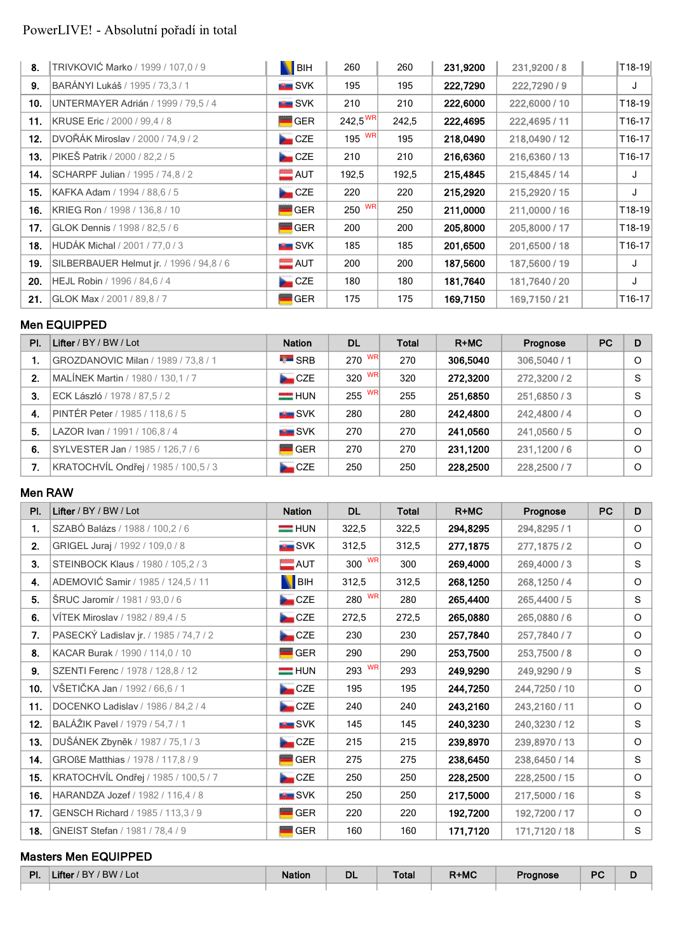# PowerLIVE! - Absolutní pořadí in total

| 8.  | TRIVKOVIĆ Marko / 1999 / 107,0 / 9       | <b>N</b> BIH        | 260          | 260   | 231,9200 | 231,9200 / 8  | $ T18-19 $ |
|-----|------------------------------------------|---------------------|--------------|-------|----------|---------------|------------|
| 9.  | BARÁNYI Lukáš / 1995 / 73,3 / 1          | <del>™</del> SVK    | 195          | 195   | 222,7290 | 222,7290/9    | J          |
| 10. | UNTERMAYER Adrián / 1999 / 79,5 / 4      | <del>. </del> SVK   | 210          | 210   | 222,6000 | 222,6000 / 10 | T18-19     |
| 11. | <b>KRUSE Eric</b> / 2000 / 99.4 / 8      | <b>GER</b>          | $242,5^{WR}$ | 242,5 | 222,4695 | 222,4695 / 11 | T16-17     |
| 12. | DVOŘÁK Miroslav / 2000 / 74,9 / 2        | <b>Exercise</b> CZE | 195 $W$ R    | 195   | 218,0490 | 218,0490 / 12 | T16-17     |
| 13. | <b>PIKEŠ Patrik / 2000 / 82.2 / 5</b>    | <b>Exercise</b> CZE | 210          | 210   | 216,6360 | 216,6360/13   | T16-17     |
| 14. | SCHARPF Julian / 1995 / 74,8 / 2         | $\blacksquare$ AUT  | 192,5        | 192,5 | 215,4845 | 215,4845 / 14 | J          |
| 15. | KAFKA Adam / 1994 / 88.6 / 5             | <b>Exercise</b> CZE | 220          | 220   | 215,2920 | 215,2920 / 15 | J          |
| 16. | KRIEG Ron / 1998 / 136,8 / 10            | <b>GER</b>          | $250$ WR     | 250   | 211,0000 | 211,0000 / 16 | T18-19     |
| 17. | <b>GLOK Dennis / 1998 / 82.5 / 6</b>     | <b>GER</b>          | 200          | 200   | 205,8000 | 205,8000 / 17 | T18-19     |
| 18. | HUDÁK Michal / 2001 / 77,0 / 3           | SVK                 | 185          | 185   | 201,6500 | 201,6500 / 18 | T16-17     |
| 19. | SILBERBAUER Helmut jr. / 1996 / 94,8 / 6 | $=$ AUT             | 200          | 200   | 187,5600 | 187,5600 / 19 | J          |
| 20. | HEJL Robin / 1996 / 84,6 / 4             | CZE                 | 180          | 180   | 181,7640 | 181,7640 / 20 | J          |
| 21. | GLOK Max / 2001 / 89.8 / 7               | <b>GER</b>          | 175          | 175   | 169,7150 | 169,7150 / 21 | T16-17     |

# **Men EQUIPPED**

| PI. | Lifter / BY / BW / Lot               | <b>Nation</b>      | DL     | Total | $R+MC$   | Prognose     | <b>PC</b> | D        |
|-----|--------------------------------------|--------------------|--------|-------|----------|--------------|-----------|----------|
|     | GROZDANOVIC Milan / 1989 / 73,8 / 1  | $\overline{L}$ SRB | 270 WR | 270   | 306,5040 | 306,5040 / 1 |           | $\circ$  |
| 2.  | MALÍNEK Martin / 1980 / 130,1 / 7    | CZE                | 320 WR | 320   | 272,3200 | 272,3200 / 2 |           | S        |
| 3.  | ECK László / 1978 / 87,5 / 2         | $=$ HUN            | 255 WR | 255   | 251,6850 | 251,6850/3   |           | S        |
| 4.  | PINTÉR Peter / 1985 / 118,6 / 5      | SVK                | 280    | 280   | 242,4800 | 242,4800 / 4 |           | $\Omega$ |
| 5.  | LAZOR Ivan / 1991 / 106.8 / 4        | <b>EL</b> SVK      | 270    | 270   | 241,0560 | 241,0560 / 5 |           | $\Omega$ |
| 6.  | SYLVESTER Jan / 1985 / 126,7 / 6     | <b>GER</b>         | 270    | 270   | 231,1200 | 231,1200/6   |           | $\Omega$ |
| 7.  | KRATOCHVÍL Ondřej / 1985 / 100,5 / 3 | CZE                | 250    | 250   | 228,2500 | 228,2500 / 7 |           | $\circ$  |

#### **Men RAW**

| PI. | Lifter / BY / BW / Lot                 | <b>Nation</b>                        | <b>DL</b> | <b>Total</b> | $R+MC$   | Prognose      | <b>PC</b> | D       |
|-----|----------------------------------------|--------------------------------------|-----------|--------------|----------|---------------|-----------|---------|
| 1.  | SZABÓ Balázs / 1988 / 100,2 / 6        | $=$ HUN                              | 322,5     | 322,5        | 294,8295 | 294,8295 / 1  |           | $\circ$ |
| 2.  | GRIGEL Juraj / 1992 / 109,0 / 8        | <b>SVK</b>                           | 312,5     | 312,5        | 277,1875 | 277, 1875 / 2 |           | $\circ$ |
| 3.  | STEINBOCK Klaus / 1980 / 105,2 / 3     | $\blacksquare$ AUT                   | 300 WR    | 300          | 269,4000 | 269,4000/3    |           | S       |
| 4.  | ADEMOVIĆ Samir / 1985 / 124,5 / 11     | BIH                                  | 312,5     | 312,5        | 268,1250 | 268,1250/4    |           | O       |
| 5.  | <b>SRUC Jaromír</b> / 1981 / 93,0 / 6  | CZE                                  | 280 WR    | 280          | 265,4400 | 265,4400 / 5  |           | S       |
| 6.  | VÍTEK Miroslav / 1982 / 89,4 / 5       | CZE                                  | 272,5     | 272,5        | 265,0880 | 265,0880/6    |           | O       |
| 7.  | PASECKÝ Ladislav jr. / 1985 / 74,7 / 2 | $\mathbf{L}$ CZE                     | 230       | 230          | 257,7840 | 257,7840/7    |           | O       |
| 8.  | KACAR Burak / 1990 / 114,0 / 10        | <b>GER</b>                           | 290       | 290          | 253,7500 | 253,7500 / 8  |           | O       |
| 9.  | SZENTI Ferenc / 1978 / 128,8 / 12      | 293 WR<br>$=$ HUN<br>249,9290<br>293 |           | 249,9290 / 9 |          | S             |           |         |
| 10. | VŠETIČKA Jan / 1992 / 66,6 / 1         | CZE                                  | 195       | 195          | 244,7250 | 244,7250 / 10 |           | O       |
| 11. | DOCENKO Ladislav / 1986 / 84,2 / 4     | CZE                                  | 240       | 240          | 243,2160 | 243,2160 / 11 |           | $\circ$ |
| 12. | BALÁŽIK Pavel / 1979 / 54,7 / 1        | <b>BE</b> SVK                        | 145       | 145          | 240,3230 | 240,3230 / 12 |           | S       |
| 13. | DUŠÁNEK Zbyněk / 1987 / 75,1 / 3       | CZE                                  | 215       | 215          | 239,8970 | 239,8970 / 13 |           | $\circ$ |
| 14. | GROßE Matthias / 1978 / 117,8 / 9      | <b>GER</b>                           | 275       | 275          | 238,6450 | 238,6450 / 14 |           | S       |
| 15. | KRATOCHVÍL Ondřej / 1985 / 100,5 / 7   | CZE                                  | 250       | 250          | 228,2500 | 228,2500 / 15 |           | $\circ$ |
| 16. | HARANDZA Jozef / 1982 / 116,4 / 8      | <b>SVK</b>                           | 250       | 250          | 217,5000 | 217,5000 / 16 |           | S       |
| 17. | GENSCH Richard / 1985 / 113,3 / 9      | <b>GER</b>                           | 220       | 220          | 192,7200 | 192,7200 / 17 |           | $\circ$ |
| 18. | GNEIST Stefan / 1981 / 78,4 / 9        | <b>GER</b>                           | 160       | 160          | 171,7120 | 171,7120 / 18 |           | S       |

#### **Masters Men EQUIPPED**

| DI<br>ть. | $/$ RW $/$ $\sqrt{}$<br>' Lot<br>⊿mer | union. | <b>DL</b> | `otal | R+MC | <b>Inose</b><br><b>B</b> 20 | D <sub>C</sub><br>. .<br>$-$ | D |
|-----------|---------------------------------------|--------|-----------|-------|------|-----------------------------|------------------------------|---|
|           |                                       |        |           |       |      |                             |                              |   |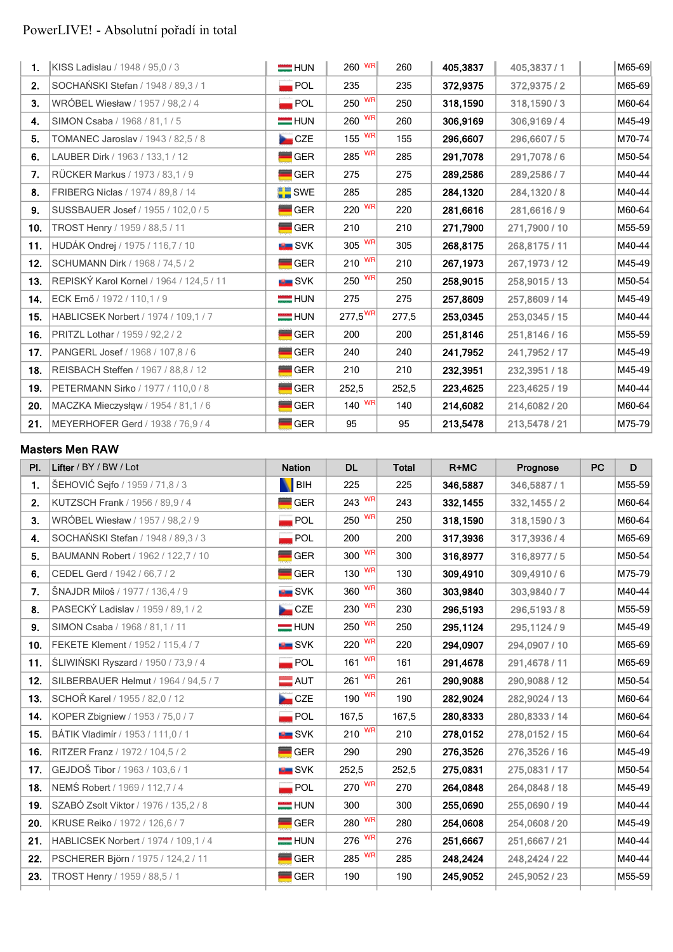# PowerLIVE! - Absolutní pořadí in total

| 1.  | KISS Ladislau / 1948 / 95,0 / 3          | $=$ HUN            | 260 WR              | 260   | 405,3837 | 405,3837/1     | M65-69 |
|-----|------------------------------------------|--------------------|---------------------|-------|----------|----------------|--------|
| 2.  | SOCHAŃSKI Stefan / 1948 / 89,3 / 1       | $\blacksquare$ POL | 235                 | 235   | 372,9375 | 372,9375 / 2   | M65-69 |
| 3.  | WRÓBEL Wiesław / 1957 / 98,2 / 4         | $\blacksquare$ POL | 250 WR              | 250   | 318,1590 | 318,1590/3     | M60-64 |
| 4.  | SIMON Csaba / 1968 / 81,1 / 5            | <b>FRIED</b> HUN   | $260$ WR            | 260   | 306,9169 | 306,9169/4     | M45-49 |
| 5.  | TOMANEC Jaroslav / 1943 / 82,5 / 8       | <b>No.</b> CZE     | $155$ WR            | 155   | 296,6607 | 296,6607/5     | M70-74 |
| 6.  | LAUBER Dirk / 1963 / 133, 1 / 12         | GER                | $285$ WR            | 285   | 291,7078 | 291,7078/6     | M50-54 |
| 7.  | RÜCKER Markus / 1973 / 83,1 / 9          | <b>GER</b>         | 275                 | 275   | 289,2586 | 289,2586/7     | M40-44 |
| 8.  | FRIBERG Niclas / 1974 / 89.8 / 14        | SWE                | 285                 | 285   | 284,1320 | 284,1320 / 8   | M40-44 |
| 9.  | SUSSBAUER Josef / 1955 / 102,0 / 5       | <b>GER</b>         | 220 WR              | 220   | 281,6616 | 281,6616/9     | M60-64 |
| 10. | TROST Henry / 1959 / 88,5 / 11           | <b>GER</b>         | 210                 | 210   | 271,7900 | 271,7900 / 10  | M55-59 |
| 11. | HUDÁK Ondrej / 1975 / 116,7 / 10         | <b>EL</b> SVK      | $305$ WR            | 305   | 268,8175 | 268,8175 / 11  | M40-44 |
| 12. | SCHUMANN Dirk / 1968 / 74,5 / 2          | $\blacksquare$ GER | $210$ WR            | 210   | 267,1973 | 267, 1973 / 12 | M45-49 |
| 13. | REPISKÝ Karol Kornel / 1964 / 124,5 / 11 | SVK                | 250 WR              | 250   | 258,9015 | 258,9015 / 13  | M50-54 |
| 14. | ECK Ernő / 1972 / 110,1 / 9              | $=$ HUN            | 275                 | 275   | 257,8609 | 257,8609 / 14  | M45-49 |
| 15. | HABLICSEK Norbert / 1974 / 109,1 / 7     | <b>HUN</b>         | $277,5^{\text{WR}}$ | 277,5 | 253,0345 | 253,0345 / 15  | M40-44 |
| 16. | PRITZL Lothar / 1959 / 92,2 / 2          | <b>GER</b>         | 200                 | 200   | 251,8146 | 251,8146 / 16  | M55-59 |
| 17. | PANGERL Josef / 1968 / 107,8 / 6         | <b>GER</b>         | 240                 | 240   | 241,7952 | 241,7952 / 17  | M45-49 |
| 18. | REISBACH Steffen / 1967 / 88,8 / 12      | <b>GER</b>         | 210                 | 210   | 232,3951 | 232,3951/18    | M45-49 |
| 19. | PETERMANN Sirko / 1977 / 110,0 / 8       | <b>GER</b>         | 252,5               | 252,5 | 223,4625 | 223,4625 / 19  | M40-44 |
| 20. | MACZKA Mieczysłąw / 1954 / 81,1 / 6      | <b>GER</b>         | $140$ WR            | 140   | 214,6082 | 214,6082 / 20  | M60-64 |
| 21. | MEYERHOFER Gerd / 1938 / 76,9 / 4        | <b>GER</b>         | 95                  | 95    | 213,5478 | 213,5478 / 21  | M75-79 |

### **Masters Men RAW**

| PI. | Lifter / BY / BW / Lot                     | <b>Nation</b>      | <b>DL</b>                    | <b>Total</b> | R+MC     | Prognose      | PC | D      |
|-----|--------------------------------------------|--------------------|------------------------------|--------------|----------|---------------|----|--------|
| 1.  | ŠEHOVIĆ Sejfo / 1959 / 71,8 / 3            | <b>BIH</b>         | 225                          | 225          | 346,5887 | 346,5887/1    |    | M55-59 |
| 2.  | KUTZSCH Frank / 1956 / 89,9 / 4            | <b>GER</b>         | 243 WR                       | 243          | 332,1455 | 332,1455/2    |    | M60-64 |
| 3.  | WRÓBEL Wiesław / 1957 / 98,2 / 9           | <b>POL</b>         | 250 WR                       | 250          | 318,1590 | 318,1590/3    |    | M60-64 |
| 4.  | SOCHAŃSKI Stefan / 1948 / 89,3 / 3         | POL                | 200                          | 200          | 317,3936 | 317,3936/4    |    | M65-69 |
| 5.  | BAUMANN Robert / 1962 / 122,7 / 10         | <b>GER</b>         | $300$ WR                     | 300          | 316,8977 | 316,8977/5    |    | M50-54 |
| 6.  | CEDEL Gerd / 1942 / 66,7 / 2               | <b>GER</b>         | $130$ WR                     | 130          | 309,4910 | 309,4910/6    |    | M75-79 |
| 7.  | ŠNAJDR Miloš / 1977 / 136,4 / 9            | <b>SVK</b>         | 360 WR                       | 360          | 303,9840 | 303,9840/7    |    | M40-44 |
| 8.  | PASECKÝ Ladislav / 1959 / 89, 1 / 2        | CZE                | 230 WR                       | 230          | 296,5193 | 296,5193/8    |    | M55-59 |
| 9.  | SIMON Csaba / 1968 / 81,1 / 11             | $=$ HUN            | $250$ WR                     | 250          | 295,1124 | 295,1124 / 9  |    | M45-49 |
| 10. | FEKETE Klement / 1952 / 115,4 / 7          | <b>EE</b> SVK      | $220$ WR                     | 220          | 294,0907 | 294,0907 / 10 |    | M65-69 |
| 11. | <b>ŚLIWIŃSKI Ryszard / 1950 / 73,9 / 4</b> | $\blacksquare$ POL | 161 $\overline{WR}$          | 161          | 291,4678 | 291,4678 / 11 |    | M65-69 |
| 12. | SILBERBAUER Helmut / 1964 / 94,5 / 7       | $\blacksquare$ AUT | $261$ WR                     | 261          | 290,9088 | 290,9088 / 12 |    | M50-54 |
| 13. | SCHOŘ Karel / 1955 / 82,0 / 12             | CZE                | 190 WR                       | 190          | 282,9024 | 282,9024 / 13 |    | M60-64 |
| 14. | KOPER Zbigniew / 1953 / 75,0 / 7           | $\blacksquare$ POL | 167,5                        | 167,5        | 280,8333 | 280,8333 / 14 |    | M60-64 |
| 15. | BÁTIK Vladimír / 1953 / 111,0 / 1          | <b>ERIC SVK</b>    | $210$ WR                     | 210          | 278,0152 | 278,0152 / 15 |    | M60-64 |
| 16. | RITZER Franz / 1972 / 104,5 / 2            | $\blacksquare$ GER | 290                          | 290          | 276,3526 | 276,3526 / 16 |    | M45-49 |
| 17. | GEJDOŠ Tibor / 1963 / 103,6 / 1            | <b>E</b> SVK       | 252,5                        | 252,5        | 275,0831 | 275,0831 / 17 |    | M50-54 |
| 18. | NEMŚ Robert / 1969 / 112,7 / 4             | $\blacksquare$ POL | 270 WR                       | 270          | 264,0848 | 264,0848 / 18 |    | M45-49 |
| 19. | SZABÓ Zsolt Viktor / 1976 / 135,2 / 8      | $=$ HUN            | 300                          | 300          | 255,0690 | 255,0690 / 19 |    | M40-44 |
| 20. | KRUSE Reiko / 1972 / 126,6 / 7             | $\blacksquare$ GER | $280$ $\overline{\text{WR}}$ | 280          | 254,0608 | 254,0608 / 20 |    | M45-49 |
| 21. | HABLICSEK Norbert / 1974 / 109,1 / 4       | $=$ HUN            | 276 WR                       | 276          | 251,6667 | 251,6667/21   |    | M40-44 |
| 22. | PSCHERER Björn / 1975 / 124,2 / 11         | <b>GER</b>         | 285 WR                       | 285          | 248,2424 | 248,2424 / 22 |    | M40-44 |
| 23. | TROST Henry / 1959 / 88,5 / 1              | <b>GER</b><br>=    | 190                          | 190          | 245,9052 | 245,9052 / 23 |    | M55-59 |
|     |                                            |                    |                              |              |          |               |    |        |